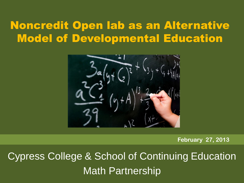### Noncredit Open lab as an Alternative Model of Developmental Education



**February 27, 2013**

Cypress College & School of Continuing Education Math Partnership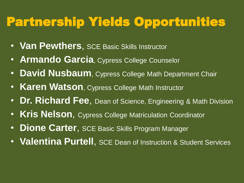# Partnership Yields Opportunities

- **Van Pewthers**, SCE Basic Skills Instructor
- **Armando Garcia**, Cypress College Counselor
- **David Nusbaum**, Cypress College Math Department Chair
- **Karen Watson**, Cypress College Math Instructor
- **Dr. Richard Fee**, Dean of Science, Engineering & Math Division
- **Kris Nelson**, Cypress College Matriculation Coordinator
- **Dione Carter**, SCE Basic Skills Program Manager
- **Valentina Purtell**, SCE Dean of Instruction & Student Services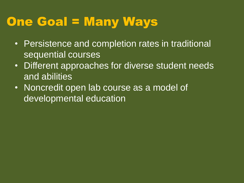## One Goal = Many Ways

- Persistence and completion rates in traditional sequential courses
- Different approaches for diverse student needs and abilities
- Noncredit open lab course as a model of developmental education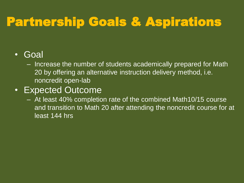# Partnership Goals & Aspirations

#### • Goal

– Increase the number of students academically prepared for Math 20 by offering an alternative instruction delivery method, i.e. noncredit open-lab

#### • Expected Outcome

– At least 40% completion rate of the combined Math10/15 course and transition to Math 20 after attending the noncredit course for at least 144 hrs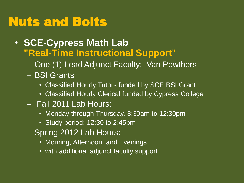# Nuts and Bolts

- **SCE-Cypress Math Lab "Real-Time Instructional Support**"
	- One (1) Lead Adjunct Faculty: Van Pewthers
	- BSI Grants
		- Classified Hourly Tutors funded by SCE BSI Grant
		- Classified Hourly Clerical funded by Cypress College
	- Fall 2011 Lab Hours:
		- Monday through Thursday, 8:30am to 12:30pm
		- Study period: 12:30 to 2:45pm
	- Spring 2012 Lab Hours:
		- Morning, Afternoon, and Evenings
		- with additional adjunct faculty support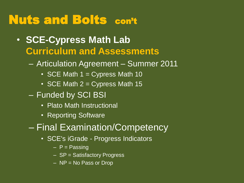## Nuts and Bolts con't

- **SCE-Cypress Math Lab Curriculum and Assessments**
	- Articulation Agreement Summer 2011
		- SCE Math  $1 =$  Cypress Math 10
		- SCE Math  $2 =$  Cypress Math 15
	- Funded by SCI BSI
		- Plato Math Instructional
		- Reporting Software
	- Final Examination/Competency
		- SCE's iGrade Progress Indicators
			- $P$  = Passing
			- SP = Satisfactory Progress
			- NP = No Pass or Drop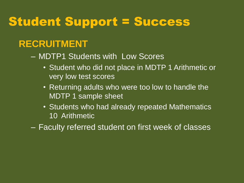## Student Support = Success

#### **RECRUITMENT**

– MDTP1 Students with Low Scores

- Student who did not place in MDTP 1 Arithmetic or very low test scores
- Returning adults who were too low to handle the MDTP 1 sample sheet
- Students who had already repeated Mathematics 10 Arithmetic
- Faculty referred student on first week of classes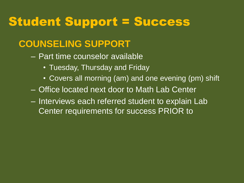## Student Support = Success

### **COUNSELING SUPPORT**

- Part time counselor available
	- Tuesday, Thursday and Friday
	- Covers all morning (am) and one evening (pm) shift
- Office located next door to Math Lab Center
- Interviews each referred student to explain Lab Center requirements for success PRIOR to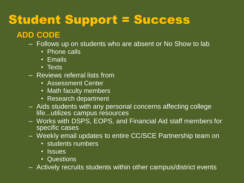# Student Support = Success

#### **ADD CODE**

- Follows up on students who are absent or No Show to lab
	- Phone calls
	- Emails
	- Texts
- Reviews referral lists from
	- Assessment Center
	- Math faculty members
	- Research department
- Aids students with any personal concerns affecting college life...utilizes campus resources
- Works with DSPS, EOPS, and Financial Aid staff members for specific cases
- Weekly email updates to entire CC/SCE Partnership team on
	- students numbers
	- Issues
	- Questions
- Actively recruits students within other campus/district events